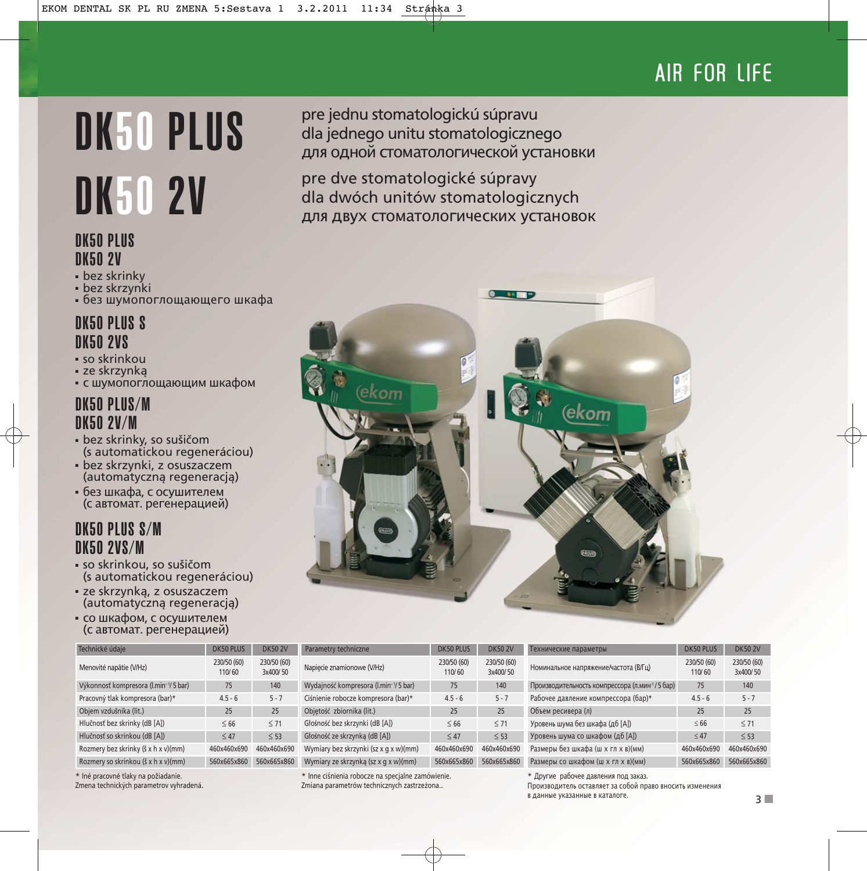# AIR FOR LIFE

# DK50 PLUS

# DK50 PLUS DK50 2V

- bez skrinky
- bez skrzynki
- без шумопоглощающего шкафа

# DK50 PLUS S DK50 2VS

- so skrinkou
- ze skrzynką
- с шумопоглощающим шкафом

# DK50 PLUS/M DK50 2V/M

- bez skrinky, so sušičom (s automatickou regeneráciou)
- bez skrzynki, z osuszaczem (automatyczną regeneracją)
- без шкафа, с осушителем (с автомат. регенерацией)

# DK50 PLUS S/M DK50 2VS/M

- so skrinkou, so sušičom (s automatickou regeneráciou)
- ze skrzynką, z osuszaczem (automatyczną regeneracją)
- со шкафом, с осушителем (с автомат. регенерацией)

| Technické údaje                      | <b>DK50 PLUS</b>      | <b>DK50 2V</b>          |
|--------------------------------------|-----------------------|-------------------------|
| Menovité napätie (V/Hz)              | 230/50 (60)<br>110/60 | 230/50 (60)<br>3x400/50 |
| Výkonnosť kompresora (I.min-1/5 bar) | 75                    | 140                     |
| Pracovný tlak kompresora (bar)*      | $4.5 - 6$             | $5 - 7$                 |
| Objem vzdušníka (lit.)               | 25                    | 25                      |
| Hlučnosť bez skrinky (dB [A])        | < 66                  | < 71                    |
| Hlučnosť so skrinkou (dB [A])        | < 47                  | $<$ 53                  |
| Rozmery bez skrinky (š x h x v)(mm)  | 460x460x690           | 460x460x690             |
| Rozmery so skrinkou (š x h x v)(mm)  | 560x665x860           | 560x665x860             |

\* Iné pracovné tlaky na požiadanie.

Zmena technických parametrov vyhradená.

pre jednu stomatologickú súpravu dla jednego unitu stomatologicznego дляодной стоматологической установки

**DK50 2V** pre dve stomatologické súpravy<br>dla dwóch unitów stomatologic dla dwóch unitów stomatologicznych для двух стоматологических установок



| Parametry techniczne                  | <b>DK50 PLUS</b>      | <b>DK50 2V</b>          |
|---------------------------------------|-----------------------|-------------------------|
| Napiecie znamionowe (V/Hz)            | 230/50 (60)<br>110/60 | 230/50 (60)<br>3x400/50 |
| Wydajność kompresora (I.min-1/5 bar)  | 75                    | 140                     |
| Ciśnienie robocze kompresora (bar)*   | $4.5 - 6$             | $5 - 7$                 |
| Objetość zbiornika (lit.)             | 25                    | 25                      |
| Głośność bez skrzynki (dB [A])        | < 66                  | < 71                    |
| Głośność ze skrzynka (dB [A])         | < 47                  | < 53                    |
| Wymiary bez skrzynki (sz x g x w)(mm) | 460x460x690           | 460x460x690             |
| Wymiary ze skrzynką (sz x g x w)(mm)  | 560x665x860           | 560x665x860             |

\* Inne ciśnienia robocze na specjalne zamówienie. Zmiana parametrów technicznych zastrzeżona..

| Технические параметры                                       | DK50 PLUS             | <b>DK50 2V</b>          |
|-------------------------------------------------------------|-----------------------|-------------------------|
| Номинальное напряжение/частота (В/Гц)                       | 230/50 (60)<br>110/60 | 230/50 (60)<br>3x400/50 |
| Производительность компрессора (л.мин <sup>-1</sup> /5 бар) | 75                    | 140                     |
| Рабочее давление компрессора (бар)*                         | $4.5 - 6$             | $5 - 7$                 |
| Объем ресивера (л)                                          | 25                    | 25                      |
| Уровень шума без шкафа (дб [А])                             | < 66                  | < 71                    |
| Уровень шума со шкафом (дб [А])                             | < 47                  | $<$ 53                  |
| Размеры без шкафа (ш х гл х в)(мм)                          | 460x460x690           | 460x460x690             |
| Размеры со шкафом (ш х гл х в)(мм)                          | 560x665x860           | 560x665x860             |

\* Другие рабочее давления под закaз. Производитель оставляет за собой право вносить изменения в данные указанные в каталоге.

3 ■